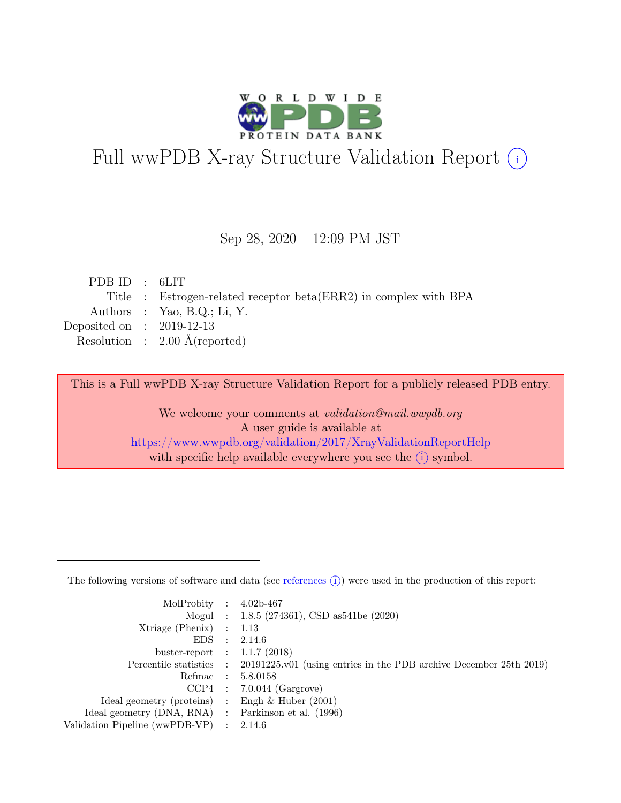

# Full wwPDB X-ray Structure Validation Report  $(i)$

#### Sep 28, 2020 – 12:09 PM JST

| PDBID : 6LIT                                                     |
|------------------------------------------------------------------|
| Title : Estrogen-related receptor beta(ERR2) in complex with BPA |
| Authors : Yao, B.Q.; Li, Y.                                      |
| Deposited on : $2019-12-13$                                      |
| Resolution : $2.00 \text{ Å}$ (reported)                         |
|                                                                  |

This is a Full wwPDB X-ray Structure Validation Report for a publicly released PDB entry.

We welcome your comments at validation@mail.wwpdb.org A user guide is available at <https://www.wwpdb.org/validation/2017/XrayValidationReportHelp> with specific help available everywhere you see the  $(i)$  symbol.

The following versions of software and data (see [references](https://www.wwpdb.org/validation/2017/XrayValidationReportHelp#references)  $(i)$ ) were used in the production of this report:

| MolProbity : $4.02b-467$                            |                                                                                            |
|-----------------------------------------------------|--------------------------------------------------------------------------------------------|
|                                                     | Mogul : $1.8.5$ (274361), CSD as 541be (2020)                                              |
| $Xtriangle (Phenix)$ : 1.13                         |                                                                                            |
|                                                     | EDS : 2.14.6                                                                               |
| buster-report : $1.1.7$ (2018)                      |                                                                                            |
|                                                     | Percentile statistics : 20191225.v01 (using entries in the PDB archive December 25th 2019) |
|                                                     | Refmac : 5.8.0158                                                                          |
|                                                     | $CCP4$ : 7.0.044 (Gargrove)                                                                |
| Ideal geometry (proteins) : Engh $\&$ Huber (2001)  |                                                                                            |
| Ideal geometry (DNA, RNA) : Parkinson et al. (1996) |                                                                                            |
| Validation Pipeline (wwPDB-VP) : $2.14.6$           |                                                                                            |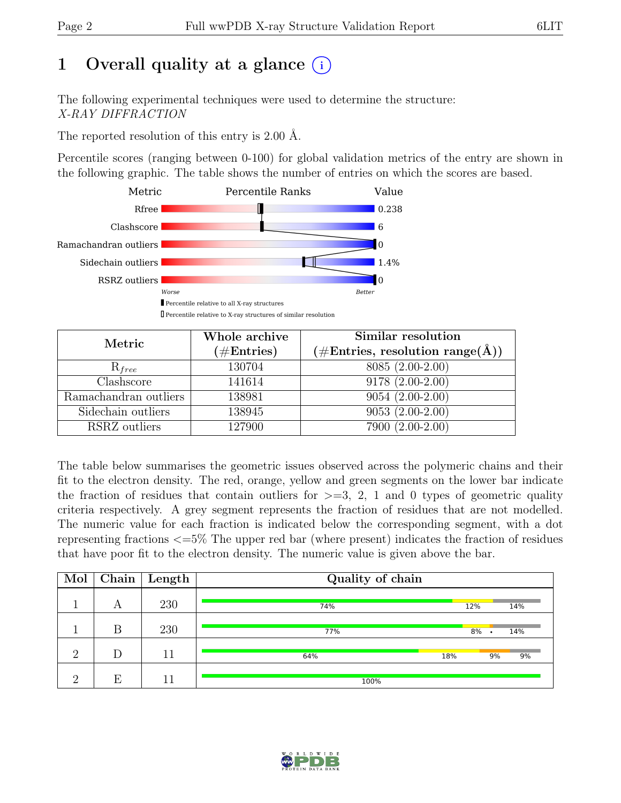# 1 Overall quality at a glance  $(i)$

The following experimental techniques were used to determine the structure: X-RAY DIFFRACTION

The reported resolution of this entry is 2.00 Å.

Percentile scores (ranging between 0-100) for global validation metrics of the entry are shown in the following graphic. The table shows the number of entries on which the scores are based.



| Metric                | Whole archive<br>$(\#\text{Entries})$ | Similar resolution<br>(#Entries, resolution range( $\AA$ )) |
|-----------------------|---------------------------------------|-------------------------------------------------------------|
| $R_{free}$            | 130704                                | 8085 (2.00-2.00)                                            |
| Clashscore            | 141614                                | $9178(2.00-2.00)$                                           |
| Ramachandran outliers | 138981                                | $9054(2.00-2.00)$                                           |
| Sidechain outliers    | 138945                                | $9053(2.00-2.00)$                                           |
| RSRZ outliers         | 127900                                | 7900 (2.00-2.00)                                            |

The table below summarises the geometric issues observed across the polymeric chains and their fit to the electron density. The red, orange, yellow and green segments on the lower bar indicate the fraction of residues that contain outliers for  $>=$  3, 2, 1 and 0 types of geometric quality criteria respectively. A grey segment represents the fraction of residues that are not modelled. The numeric value for each fraction is indicated below the corresponding segment, with a dot representing fractions <=5% The upper red bar (where present) indicates the fraction of residues that have poor fit to the electron density. The numeric value is given above the bar.

| Mol |   | $\overline{\text{Chain}}$ Length | Quality of chain |     |    |     |  |  |  |
|-----|---|----------------------------------|------------------|-----|----|-----|--|--|--|
|     | А | 230                              | 74%              | 12% |    | 14% |  |  |  |
|     | B | 230                              | 77%              | 8%  |    | 14% |  |  |  |
| റ   | D | 11                               | 64%              | 18% | 9% | 9%  |  |  |  |
| റ   | Е | 11                               | 100%             |     |    |     |  |  |  |

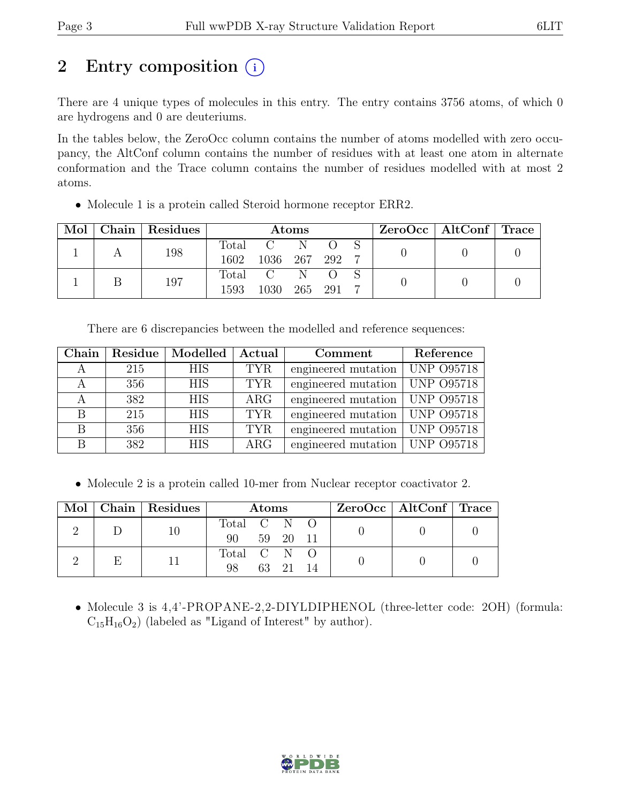# 2 Entry composition  $(i)$

There are 4 unique types of molecules in this entry. The entry contains 3756 atoms, of which 0 are hydrogens and 0 are deuteriums.

In the tables below, the ZeroOcc column contains the number of atoms modelled with zero occupancy, the AltConf column contains the number of residues with at least one atom in alternate conformation and the Trace column contains the number of residues modelled with at most 2 atoms.

• Molecule 1 is a protein called Steroid hormone receptor ERR2.

| Mol |  | Chain   Residues | Atoms   |              |   |  |  | ZeroOcc   AltConf   Trace |  |  |
|-----|--|------------------|---------|--------------|---|--|--|---------------------------|--|--|
|     |  | 198              | Total   | $\mathbf{C}$ |   |  |  |                           |  |  |
|     |  |                  | 1602    | 1036 267 292 |   |  |  |                           |  |  |
|     |  | 197              | Total C |              | N |  |  |                           |  |  |
|     |  | 1593             | 1030    | 265 291      |   |  |  |                           |  |  |

There are 6 discrepancies between the modelled and reference sequences:

| Chain | Residue | Modelled   | Actual     | Comment             | Reference         |
|-------|---------|------------|------------|---------------------|-------------------|
|       | 215     | <b>HIS</b> | <b>TYR</b> | engineered mutation | <b>UNP 095718</b> |
|       | 356     | <b>HIS</b> | <b>TYR</b> | engineered mutation | <b>UNP 095718</b> |
|       | 382     | <b>HIS</b> | $\rm{ARG}$ | engineered mutation | <b>UNP 095718</b> |
| B     | 215     | <b>HIS</b> | <b>TYR</b> | engineered mutation | <b>UNP 095718</b> |
| B     | 356     | <b>HIS</b> | <b>TYR</b> | engineered mutation | <b>UNP 095718</b> |
| В     | 382     | <b>HIS</b> | $\rm{ARG}$ | engineered mutation | <b>UNP 095718</b> |

• Molecule 2 is a protein called 10-mer from Nuclear receptor coactivator 2.

|  | Mol   Chain   Residues | <b>Atoms</b>      |          |          |  | $ZeroOcc \mid AltConf \mid Trace$ |  |
|--|------------------------|-------------------|----------|----------|--|-----------------------------------|--|
|  |                        | Total C N O<br>90 |          | 59 20 11 |  |                                   |  |
|  |                        | Total C N<br>98   | 63 21 14 |          |  |                                   |  |

• Molecule 3 is 4,4'-PROPANE-2,2-DIYLDIPHENOL (three-letter code: 2OH) (formula:  $C_{15}H_{16}O_2$ ) (labeled as "Ligand of Interest" by author).

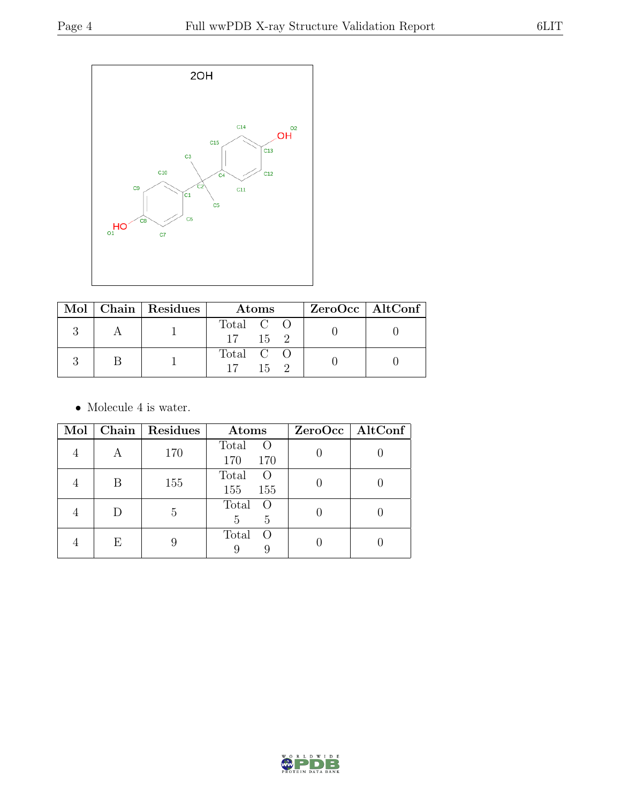

|  | Mol   Chain   Residues | <b>Atoms</b>                 | $ZeroOcc \mid AltConf \mid$ |
|--|------------------------|------------------------------|-----------------------------|
|  |                        | Total C O<br>$17 \t 15 \t 2$ |                             |
|  |                        | Total C O<br>15              |                             |

 $\bullet\,$  Molecule 4 is water.

| Mol |   | Chain   Residues | Atoms                             | $ZeroOcc \mid AltConf \mid$ |
|-----|---|------------------|-----------------------------------|-----------------------------|
|     | А | 170              | Total<br>$\circ$<br>170<br>170    |                             |
|     | В | 155              | Total<br>$\bigcirc$<br>155<br>155 |                             |
|     | D | 5                | Total<br>$\overline{O}$<br>5<br>5 |                             |
|     | Ε |                  | Total<br>$\left($ )<br>9          |                             |

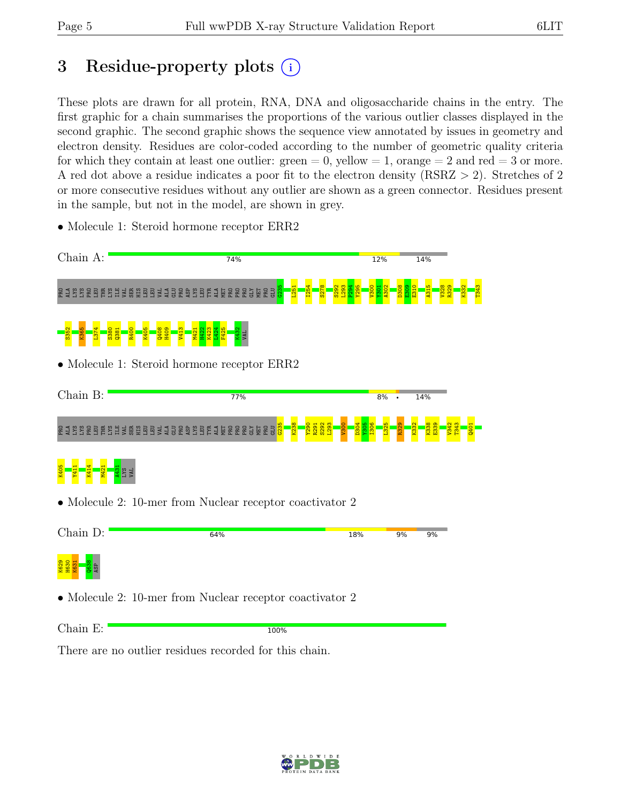T343

# 3 Residue-property plots (i)

These plots are drawn for all protein, RNA, DNA and oligosaccharide chains in the entry. The first graphic for a chain summarises the proportions of the various outlier classes displayed in the second graphic. The second graphic shows the sequence view annotated by issues in geometry and electron density. Residues are color-coded according to the number of geometric quality criteria for which they contain at least one outlier:  $green = 0$ , yellow  $= 1$ , orange  $= 2$  and red  $= 3$  or more. A red dot above a residue indicates a poor fit to the electron density (RSRZ > 2). Stretches of 2 or more consecutive residues without any outlier are shown as a green connector. Residues present in the sample, but not in the model, are shown in grey.

- Chain A: 74%  $12%$ 14% G235 L251 I254 S278 S292 L293 P294 Y295 V300 Y301 A302 D308  $\frac{8}{2}$ E310 A315 V328 R329 K332 e da ser belen da ser belen da ser belen da ser belen da ser belen da ser belen d L374 L424 S352 K365 S380  $\frac{381}{2}$ R400 K405 Q408 H409 V413 M421 H422 K423 F425 K432 VAL • Molecule 1: Steroid hormone receptor ERR2 Chain B:  $77%$  $8%$ 14% G235 K238 Y290 R291 S292 L293  $\frac{80}{2}$ D304 Y305 I306 L325 R329 K332 K338 E339 V342 T343 Q401 R 1998 B E SHI I B G H E J G B A S B E 1 U B R B G J U B  $\frac{1}{2}$ K405 Y411 K414 M421 A431 LYS VAL • Molecule 2: 10-mer from Nuclear receptor coactivator 2 Chain D: 64% 18% 9% 9% K629<br>H630<br>K6<mark>31 Q63</mark>8<br>ASP • Molecule 2: 10-mer from Nuclear receptor coactivator 2 Chain E: 100% There are no outlier residues recorded for this chain.
- Molecule 1: Steroid hormone receptor ERR2

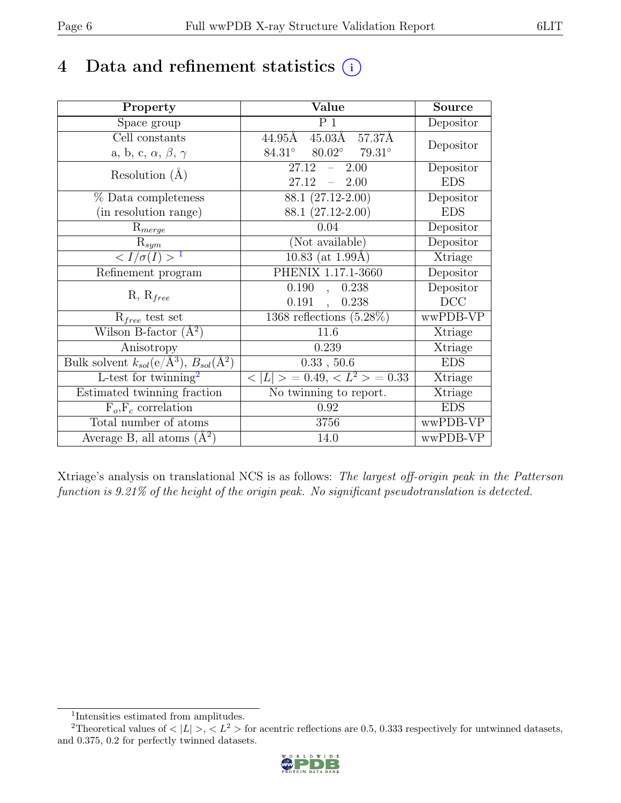# 4 Data and refinement statistics  $(i)$

| Property                                                             | Value                                   | <b>Source</b> |
|----------------------------------------------------------------------|-----------------------------------------|---------------|
| Space group                                                          | P <sub>1</sub>                          | Depositor     |
| Cell constants                                                       | 45.03Å 57.37Å<br>44.95Å                 |               |
| a, b, c, $\alpha$ , $\beta$ , $\gamma$                               | $80.02^{\circ}$ 79.31°<br>$84.31^\circ$ | Depositor     |
| Resolution $(A)$                                                     | 27.12<br>2.00                           | Depositor     |
|                                                                      | 27.12<br>$\frac{1}{2}$<br>2.00          | <b>EDS</b>    |
| % Data completeness                                                  | $88.1(27.12-2.00)$                      | Depositor     |
| (in resolution range)                                                | 88.1 (27.12-2.00)                       | <b>EDS</b>    |
| $R_{merge}$                                                          | 0.04                                    | Depositor     |
| $\mathrm{R}_{sym}$                                                   | (Not available)                         | Depositor     |
| $\langle I/\sigma(I) \rangle^{-1}$                                   | $10.83$ (at 1.99Å)                      | Xtriage       |
| Refinement program                                                   | PHENIX 1.17.1-3660                      | Depositor     |
|                                                                      | 0.190<br>0.238<br>$\overline{a}$        | Depositor     |
| $R, R_{free}$                                                        | 0.191<br>0.238                          | DCC           |
| $R_{free}$ test set                                                  | $1368$ reflections $(5.28\%)$           | wwPDB-VP      |
| Wilson B-factor $(A^2)$                                              | 11.6                                    | Xtriage       |
| Anisotropy                                                           | 0.239                                   | Xtriage       |
| Bulk solvent $k_{sol}(e/\mathring{A}^3)$ , $B_{sol}(\mathring{A}^2)$ | 0.33, 50.6                              | <b>EDS</b>    |
| L-test for $\mathrm{twinning}^2$                                     | $< L >$ = 0.49, $< L^2 >$ = 0.33        | Xtriage       |
| Estimated twinning fraction                                          | No twinning to report.                  | Xtriage       |
| $F_o, F_c$ correlation                                               | 0.92                                    | <b>EDS</b>    |
| Total number of atoms                                                | 3756                                    | wwPDB-VP      |
| Average B, all atoms $(A^2)$                                         | 14.0                                    | wwPDB-VP      |

Xtriage's analysis on translational NCS is as follows: The largest off-origin peak in the Patterson function is 9.21% of the height of the origin peak. No significant pseudotranslation is detected.

<sup>&</sup>lt;sup>2</sup>Theoretical values of  $\langle |L| \rangle$ ,  $\langle L^2 \rangle$  for acentric reflections are 0.5, 0.333 respectively for untwinned datasets, and 0.375, 0.2 for perfectly twinned datasets.



<span id="page-5-1"></span><span id="page-5-0"></span><sup>1</sup> Intensities estimated from amplitudes.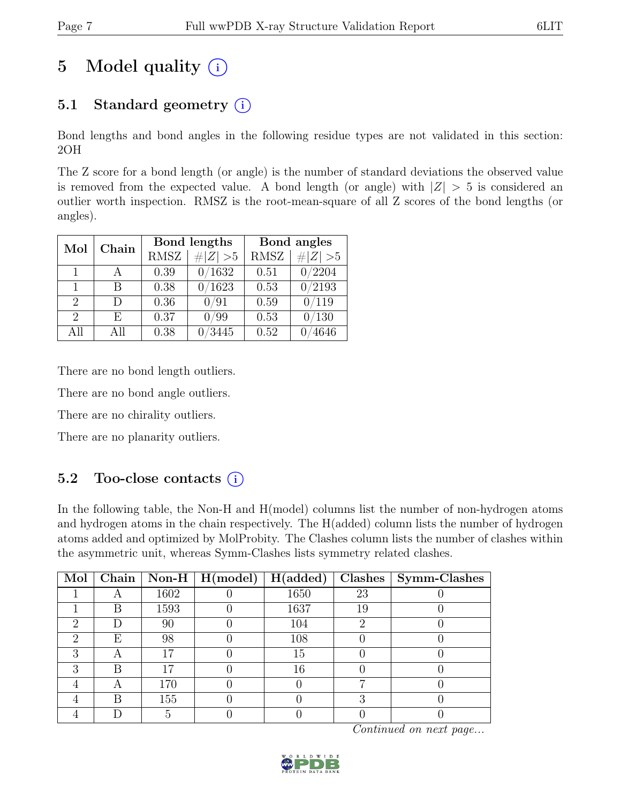# 5 Model quality  $(i)$

## 5.1 Standard geometry  $(i)$

Bond lengths and bond angles in the following residue types are not validated in this section: 2OH

The Z score for a bond length (or angle) is the number of standard deviations the observed value is removed from the expected value. A bond length (or angle) with  $|Z| > 5$  is considered an outlier worth inspection. RMSZ is the root-mean-square of all Z scores of the bond lengths (or angles).

| Mol                         | Chain |             | Bond lengths | Bond angles |                |  |
|-----------------------------|-------|-------------|--------------|-------------|----------------|--|
|                             |       | <b>RMSZ</b> | $\# Z  > 5$  | <b>RMSZ</b> | # $ Z  > 5$    |  |
| 1                           |       | 0.39        | 0/1632       | 0.51        | /2204          |  |
| 1                           | В     | 0.38        | 1623         | 0.53        | 0/2193         |  |
| 2                           | D     | 0.36        | 0/91         | 0.59        | 0/119          |  |
| $\mathcal{D}_{\mathcal{L}}$ | F,    | 0.37        | ′99          | 0.53        | $^{\prime}130$ |  |
| All                         | All   | 0.38        | 3445         | 0.52        | 4646           |  |

There are no bond length outliers.

There are no bond angle outliers.

There are no chirality outliers.

There are no planarity outliers.

### 5.2 Too-close contacts (i)

In the following table, the Non-H and H(model) columns list the number of non-hydrogen atoms and hydrogen atoms in the chain respectively. The H(added) column lists the number of hydrogen atoms added and optimized by MolProbity. The Clashes column lists the number of clashes within the asymmetric unit, whereas Symm-Clashes lists symmetry related clashes.

| Mol |   |      | $\boxed{\text{Chain}}$   Non-H   H(model) | H(added) |    | Clashes   Symm-Clashes |
|-----|---|------|-------------------------------------------|----------|----|------------------------|
|     |   | 1602 |                                           | 1650     | 23 |                        |
|     | В | 1593 |                                           | 1637     | 19 |                        |
| റ   |   | 90   |                                           | 104      |    |                        |
| ച   | E | 98   |                                           | 108      |    |                        |
| ∍   |   |      |                                           | 15       |    |                        |
| റ   | В |      |                                           | 16       |    |                        |
|     |   | 170  |                                           |          |    |                        |
|     | В | 155  |                                           |          |    |                        |
|     |   |      |                                           |          |    |                        |

Continued on next page...

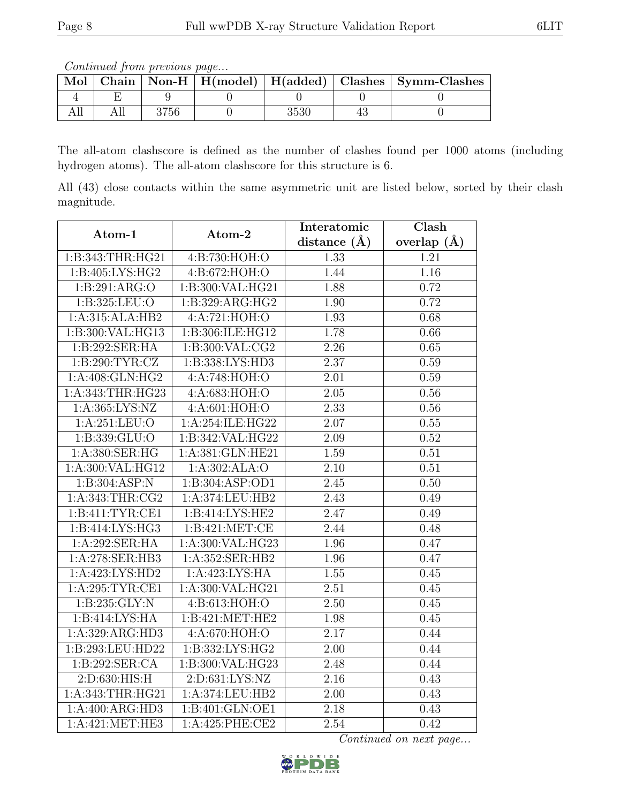Continued from previous page...

|  |      |  | Mol   Chain   Non-H   $H(model)$   $H(added)$   Clashes   Symm-Clashes |
|--|------|--|------------------------------------------------------------------------|
|  |      |  |                                                                        |
|  | 3756 |  |                                                                        |

The all-atom clashscore is defined as the number of clashes found per 1000 atoms (including hydrogen atoms). The all-atom clashscore for this structure is 6.

All (43) close contacts within the same asymmetric unit are listed below, sorted by their clash magnitude.

| Atom-1            | Atom-2             | Interatomic       | Clash             |
|-------------------|--------------------|-------------------|-------------------|
|                   |                    | distance $(A)$    | overlap $(\AA)$   |
| 1:B:343:THR:HG21  | 4:Bi:730:HOH:O     | $1.\overline{33}$ | 1.21              |
| 1:B:405:LYS:HG2   | 4:B:672:HOH:O      | 1.44              | 1.16              |
| 1:B:291:ARG:O     | 1:B:300:VAL:HG21   | 1.88              | 0.72              |
| 1:B:325:LEU:O     | 1:B:329:ARG:HG2    | 1.90              | 0.72              |
| 1:A:315:ALA:HB2   | 4:A:721:HOH:O      | 1.93              | 0.68              |
| 1:B:300:VAL:HG13  | 1:B:306:ILE:HG12   | 1.78              | 0.66              |
| 1:B:292:SER:HA    | 1: B:300: VAL: CG2 | 2.26              | 0.65              |
| 1: B:290: TYR: CZ | 1:B:338:LYS:HD3    | 2.37              | 0.59              |
| 1:A:408:GLN:HG2   | 4:A:748:HOH:O      | 2.01              | $0.59\,$          |
| 1:A:343:THR:HG23  | 4:A:683:HOH:O      | 2.05              | $0.56\,$          |
| 1:A:365:LYS:NZ    | 4:A:601:HOH:O      | 2.33              | $0.56\,$          |
| 1:A:251:LEU:O     | 1:A:254:ILE:HG22   | 2.07              | 0.55              |
| 1:B:339:GLU:O     | 1:B:342:VAL:HG22   | 2.09              | 0.52              |
| 1: A:380: SER: HG | 1:A:381:GLN:HE21   | 1.59              | $\overline{0.51}$ |
| 1:A:300:VAL:HG12  | 1:A:302:ALA:O      | 2.10              | 0.51              |
| 1:B:304:ASP:N     | 1:B:304:ASP:OD1    | 2.45              | 0.50              |
| 1:A:343:THR:CG2   | 1:A:374:LEU:HB2    | 2.43              | 0.49              |
| 1:B:411:TYR:CE1   | 1:B:414:LYS:HE2    | 2.47              | 0.49              |
| 1:B:414:LYS:HG3   | 1: B: 421: MET: CE | 2.44              | 0.48              |
| 1:A:292:SER:HA    | 1:A:300:VAL:HG23   | 1.96              | 0.47              |
| 1:A:278:SER:HB3   | 1:A:352:SER:HB2    | 1.96              | 0.47              |
| 1:A:423:LYS:HD2   | 1: A:423: LYS: HA  | $\overline{1.55}$ | 0.45              |
| 1:A:295:TYR:CE1   | 1:A:300:VAL:HG21   | 2.51              | 0.45              |
| 1: B: 235: GLY: N | 4:B:613:HOH:O      | 2.50              | 0.45              |
| 1:B:414:LYS:HA    | 1:B:421:MET:HE2    | 1.98              | 0.45              |
| 1:A:329:ARG:HD3   | 4:A:670:HOH:O      | 2.17              | 0.44              |
| 1:B:293:LEU:HD22  | 1:B:332:LYS:HG2    | 2.00              | 0.44              |
| 1:B:292:SER:CA    | 1:B:300:VAL:HG23   | $\overline{2.48}$ | 0.44              |
| 2: D:630: HIS:H   | 2:D:631:LYS:NZ     | 2.16              | 0.43              |
| 1:A:343:THR:HG21  | 1:A:374:LEU:HB2    | 2.00              | 0.43              |
| 1:A:400:ARG:HD3   | 1:B:401:GLN:OE1    | 2.18              | 0.43              |
| 1: A:421: MET:HE3 | 1:A:425:PHE:CE2    | 2.54              | 0.42              |

Continued on next page...

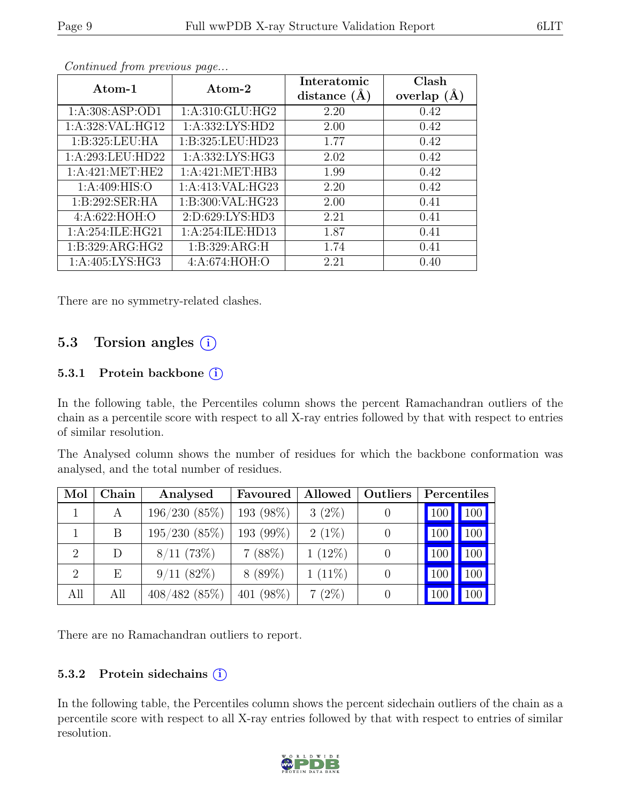| Atom-1                      | Atom-2              | Interatomic    | Clash         |
|-----------------------------|---------------------|----------------|---------------|
|                             |                     | distance $(A)$ | overlap $(A)$ |
| 1: A:308: ASP:OD1           | 1: A:310: GLU: HG2  | 2.20           | 0.42          |
| 1:A:328:VAL:HG12            | 1: A: 332: LYS: HD2 | 2.00           | 0.42          |
| 1:B:325:LEU:HA              | 1:B:325:LEU:HD23    | 1.77           | 0.42          |
| 1:A:293:LEU:HD22            | 1: A: 332: LYS: HG3 | 2.02           | 0.42          |
| 1: A:421: MET:HE2           | 1:A:421:MET:HB3     | 1.99           | 0.42          |
| 1: A:409: HIS:O             | 1:A:413:VAL:HG23    | 2.20           | 0.42          |
| $1:B:292:SER:H\overline{A}$ | 1:B:300:VAL:HG23    | 2.00           | 0.41          |
| 4: A:622: HOH:O             | 2:D:629:LYS:HD3     | 2.21           | 0.41          |
| 1: A:254: ILE: HG21         | 1:A:254:ILE:HD13    | 1.87           | 0.41          |
| 1:B:329:ARG:HG2             | 1:B:329:ARG:H       | 1.74           | 0.41          |
| 1: A:405: LYS: HG3          | 4:A:674:HOH:O       | 2.21           | 0.40          |

Continued from previous page...

There are no symmetry-related clashes.

### 5.3 Torsion angles (i)

#### 5.3.1 Protein backbone  $(i)$

In the following table, the Percentiles column shows the percent Ramachandran outliers of the chain as a percentile score with respect to all X-ray entries followed by that with respect to entries of similar resolution.

The Analysed column shows the number of residues for which the backbone conformation was analysed, and the total number of residues.

| Mol                         | Chain | Analysed        | Favoured  | Allowed   | Outliers | Percentiles    |        |
|-----------------------------|-------|-----------------|-----------|-----------|----------|----------------|--------|
|                             | A     | 196/230(85%)    | 193 (98%) | $3(2\%)$  |          | <sup>100</sup> | 100    |
|                             | B     | 195/230(85%)    | 193 (99%) | $2(1\%)$  |          | 100            | 100    |
| $\mathcal{D}_{\mathcal{L}}$ | D     | $8/11$ (73\%)   | 7(88%)    | $1(12\%)$ |          | 100            | 100    |
| 2                           | Ε     | $9/11(82\%)$    | $8(89\%)$ | $1(11\%)$ |          | 100            | 100    |
| All                         | All   | $408/482$ (85%) | 401 (98%) | $7(2\%)$  |          |                | $00\,$ |

There are no Ramachandran outliers to report.

#### 5.3.2 Protein sidechains (i)

In the following table, the Percentiles column shows the percent sidechain outliers of the chain as a percentile score with respect to all X-ray entries followed by that with respect to entries of similar resolution.

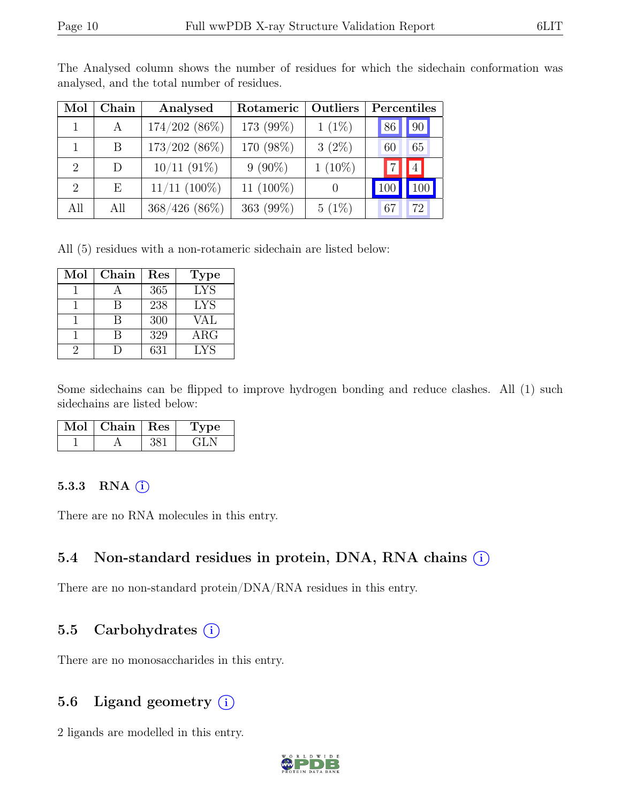| Mol                         | Chain | Analysed          | Rotameric    | Outliers  | Percentiles |  |  |
|-----------------------------|-------|-------------------|--------------|-----------|-------------|--|--|
|                             | A     | $174/202$ (86%)   | 173 (99%)    | $1(1\%)$  | 90 <br> 86  |  |  |
|                             | B     | $173/202$ (86%)   | 170 (98%)    | $3(2\%)$  | 65<br>60    |  |  |
| $\mathcal{D}_{\mathcal{L}}$ | D     | $10/11$ (91%)     | $9(90\%)$    | $1(10\%)$ | $4\vert$    |  |  |
| $\mathcal{D}_{\mathcal{L}}$ | Е     | $11/11$ $(100\%)$ | 11 $(100\%)$ |           |             |  |  |
| All                         | All   | $368/426$ (86\%)  | 363 (99%)    | $5(1\%)$  | 72<br>67    |  |  |

The Analysed column shows the number of residues for which the sidechain conformation was analysed, and the total number of residues.

All (5) residues with a non-rotameric sidechain are listed below:

| Mol | Chain | Res | <b>Type</b> |
|-----|-------|-----|-------------|
|     |       | 365 | <b>LYS</b>  |
|     | R     | 238 | <b>LYS</b>  |
|     | R     | 300 | <b>VAL</b>  |
|     | R     | 329 | $\rm{ARG}$  |
|     |       | 631 | <b>LYS</b>  |

Some sidechains can be flipped to improve hydrogen bonding and reduce clashes. All (1) such sidechains are listed below:

| Chain | $\operatorname{Res}% \left( \mathcal{N}\right) \equiv\operatorname*{Res}\left( \mathcal{N}\right)$ | /pe |
|-------|----------------------------------------------------------------------------------------------------|-----|
|       |                                                                                                    |     |

#### 5.3.3 RNA  $(i)$

There are no RNA molecules in this entry.

#### 5.4 Non-standard residues in protein, DNA, RNA chains (i)

There are no non-standard protein/DNA/RNA residues in this entry.

#### 5.5 Carbohydrates  $(i)$

There are no monosaccharides in this entry.

### 5.6 Ligand geometry  $(i)$

2 ligands are modelled in this entry.

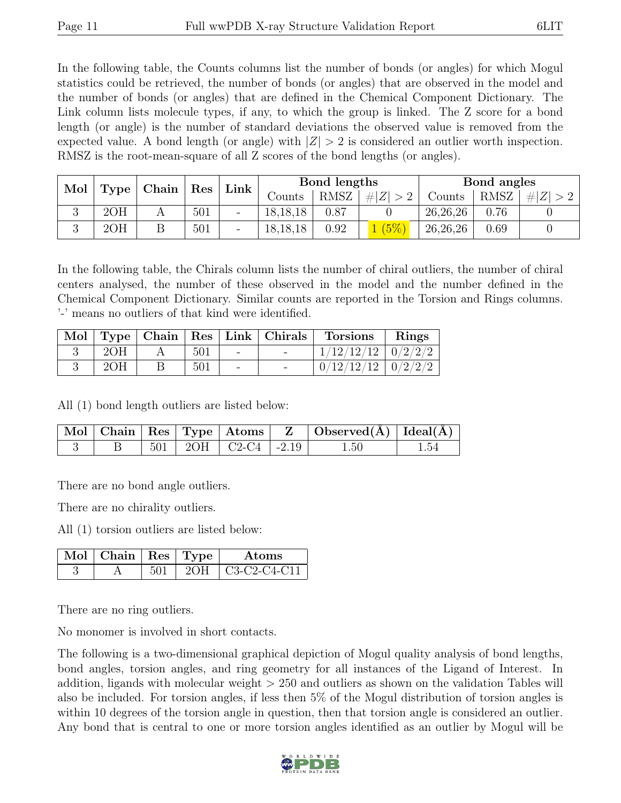In the following table, the Counts columns list the number of bonds (or angles) for which Mogul statistics could be retrieved, the number of bonds (or angles) that are observed in the model and the number of bonds (or angles) that are defined in the Chemical Component Dictionary. The Link column lists molecule types, if any, to which the group is linked. The Z score for a bond length (or angle) is the number of standard deviations the observed value is removed from the expected value. A bond length (or angle) with  $|Z| > 2$  is considered an outlier worth inspection. RMSZ is the root-mean-square of all Z scores of the bond lengths (or angles).

|   | Chain<br>Mol<br>Type |  | Res | Link | Bond lengths |      |             | Bond angles |             |     |
|---|----------------------|--|-----|------|--------------|------|-------------|-------------|-------------|-----|
|   |                      |  |     |      | Counts       | RMSZ | # $ Z  > 2$ | Counts      | <b>RMSZ</b> | # Z |
| ◡ | 2OH                  |  | 501 | -    | 18, 18, 18   | 0.87 |             | 26,26,26    | 0.76        |     |
|   | 2OH                  |  | 501 |      | 18, 18, 18   | 0.92 | (5%)        | 26,26,26    | 0.69        |     |

In the following table, the Chirals column lists the number of chiral outliers, the number of chiral centers analysed, the number of these observed in the model and the number defined in the Chemical Component Dictionary. Similar counts are reported in the Torsion and Rings columns. '-' means no outliers of that kind were identified.

| Mol |     |     |                          | $\mid$ Type $\mid$ Chain $\mid$ Res $\mid$ Link $\mid$ Chirals | <b>Torsions</b> | Rings                 |
|-----|-----|-----|--------------------------|----------------------------------------------------------------|-----------------|-----------------------|
|     | 2OH | 501 | $\overline{\phantom{0}}$ | $\overline{\phantom{0}}$                                       | 1/12/12/12      | $\frac{1}{2}$ 0/2/2/2 |
|     | 2OH | 501 | $\overline{\phantom{0}}$ | $\overline{\phantom{a}}$                                       | 0/12/12/12      | $\frac{1}{2}/2/2$     |

All (1) bond length outliers are listed below:

|  |  |                               | $\vert$ Mol $\vert$ Chain $\vert$ Res $\vert$ Type $\vert$ Atoms $\vert$ Z $\vert$ Observed(A) $\vert$ Ideal(A) $\vert$ |      |
|--|--|-------------------------------|-------------------------------------------------------------------------------------------------------------------------|------|
|  |  | $501$   $2OH$   C2-C4   -2.19 | 1.50                                                                                                                    | 1.54 |

There are no bond angle outliers.

There are no chirality outliers.

All (1) torsion outliers are listed below:

| $\vert$ Mol $\vert$ Chain $\vert$ Res $\vert$ Type $\vert$ |  | Atoms                |
|------------------------------------------------------------|--|----------------------|
|                                                            |  | $2OH$   C3-C2-C4-C11 |

There are no ring outliers.

No monomer is involved in short contacts.

The following is a two-dimensional graphical depiction of Mogul quality analysis of bond lengths, bond angles, torsion angles, and ring geometry for all instances of the Ligand of Interest. In addition, ligands with molecular weight > 250 and outliers as shown on the validation Tables will also be included. For torsion angles, if less then 5% of the Mogul distribution of torsion angles is within 10 degrees of the torsion angle in question, then that torsion angle is considered an outlier. Any bond that is central to one or more torsion angles identified as an outlier by Mogul will be

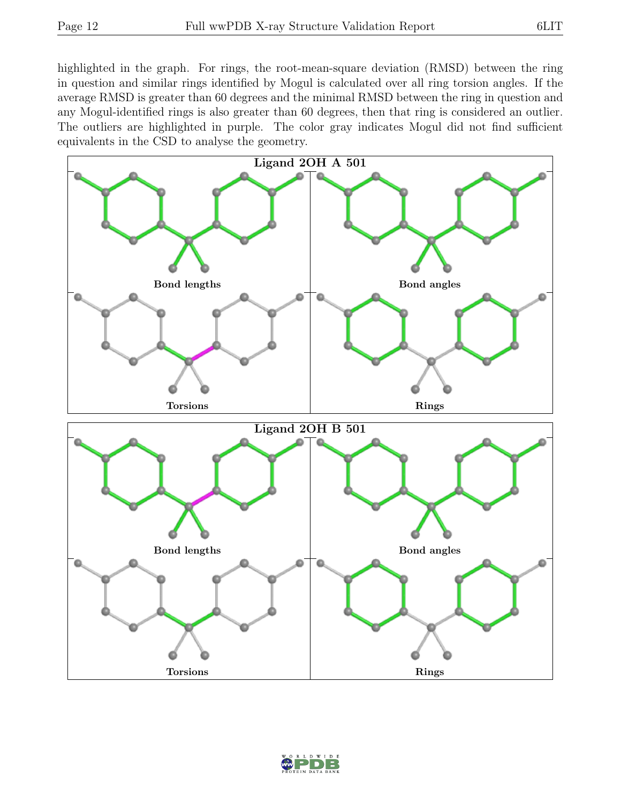highlighted in the graph. For rings, the root-mean-square deviation (RMSD) between the ring in question and similar rings identified by Mogul is calculated over all ring torsion angles. If the average RMSD is greater than 60 degrees and the minimal RMSD between the ring in question and any Mogul-identified rings is also greater than 60 degrees, then that ring is considered an outlier. The outliers are highlighted in purple. The color gray indicates Mogul did not find sufficient equivalents in the CSD to analyse the geometry.



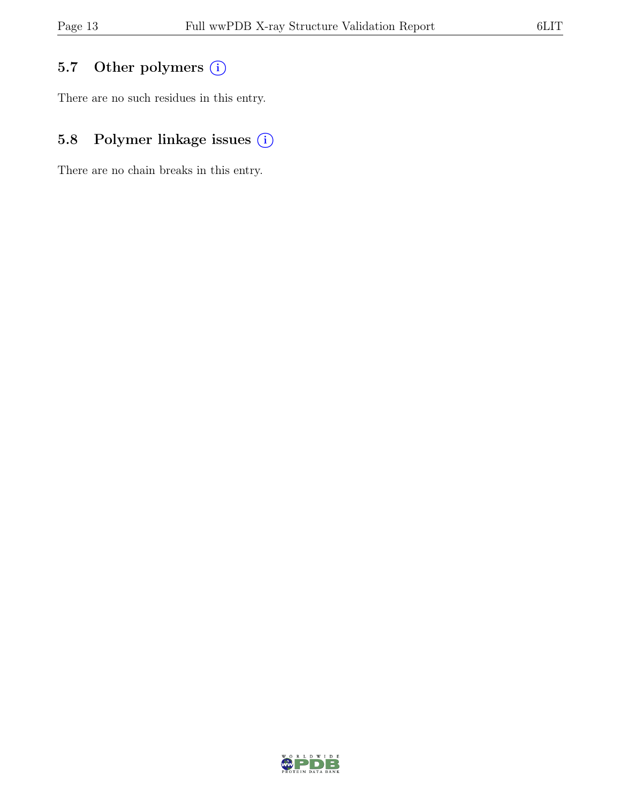## 5.7 Other polymers (i)

There are no such residues in this entry.

## 5.8 Polymer linkage issues (i)

There are no chain breaks in this entry.

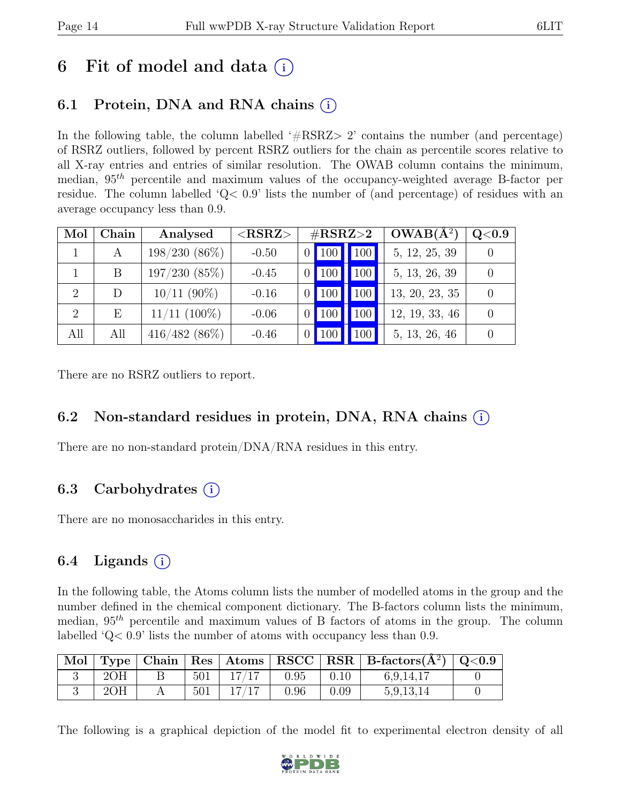# 6 Fit of model and data  $(i)$

## 6.1 Protein, DNA and RNA chains  $(i)$

In the following table, the column labelled  $#RSRZ>2$  contains the number (and percentage) of RSRZ outliers, followed by percent RSRZ outliers for the chain as percentile scores relative to all X-ray entries and entries of similar resolution. The OWAB column contains the minimum, median,  $95<sup>th</sup>$  percentile and maximum values of the occupancy-weighted average B-factor per residue. The column labelled ' $Q<.9$ ' lists the number of (and percentage) of residues with an average occupancy less than 0.9.

| Mol | Chain | Analysed          | ${ <\hspace{-1.5pt} {\rm RSRZ}\hspace{-1.5pt}>}$ | $\#\text{RSRZ}\text{>2}$ |     | $OWAB(A^2)$    | $\rm Q\textcolor{black}{<}0.9$ |
|-----|-------|-------------------|--------------------------------------------------|--------------------------|-----|----------------|--------------------------------|
|     | A     | $198/230(86\%)$   | $-0.50$                                          | 100                      | 100 | 5, 12, 25, 39  |                                |
|     | B     | 197/230(85%)      | $-0.45$                                          | 100                      | 100 | 5, 13, 26, 39  |                                |
| 2   | D     | $10/11$ (90%)     | $-0.16$                                          | 100                      | 100 | 13, 20, 23, 35 |                                |
| 2   | Е     | $11/11$ $(100\%)$ | $-0.06$                                          | 100                      | 100 | 12, 19, 33, 46 |                                |
| All | All   | $416/482(86\%)$   | $-0.46$                                          | 100                      | 100 | 5, 13, 26, 46  |                                |

There are no RSRZ outliers to report.

### 6.2 Non-standard residues in protein, DNA, RNA chains (i)

There are no non-standard protein/DNA/RNA residues in this entry.

### 6.3 Carbohydrates  $(i)$

There are no monosaccharides in this entry.

### 6.4 Ligands  $(i)$

In the following table, the Atoms column lists the number of modelled atoms in the group and the number defined in the chemical component dictionary. The B-factors column lists the minimum, median,  $95<sup>th</sup>$  percentile and maximum values of B factors of atoms in the group. The column labelled 'Q< 0.9' lists the number of atoms with occupancy less than 0.9.

|     |     |       |      |      | Mol   Type   Chain   Res   Atoms   RSCC   RSR   B-factors $(\AA^2)$   Q<0.9 |  |
|-----|-----|-------|------|------|-----------------------------------------------------------------------------|--|
| 2OH | 501 | 17/17 | 0.95 | 0.10 | 6,9,14,17                                                                   |  |
| 2OH | 501 | 17/17 | 0.96 | 0.09 | 5,9,13,14                                                                   |  |

The following is a graphical depiction of the model fit to experimental electron density of all

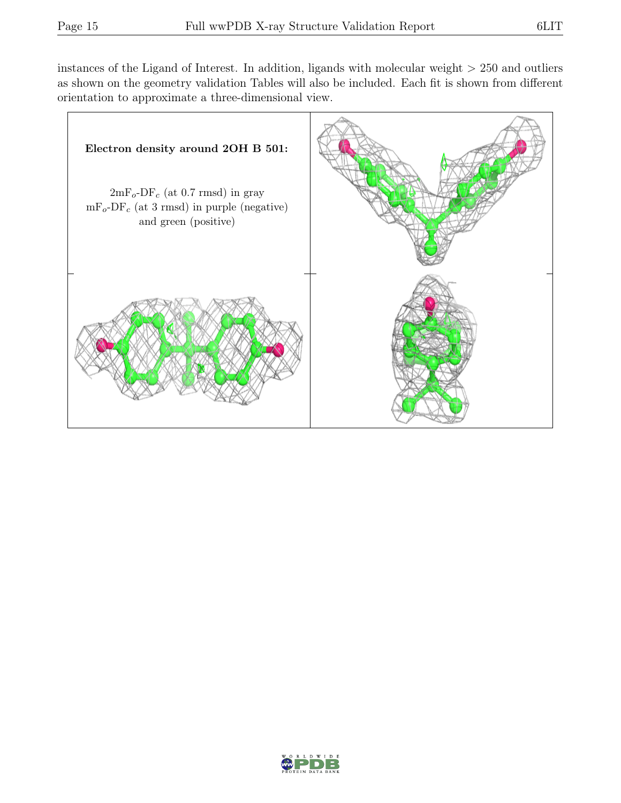instances of the Ligand of Interest. In addition, ligands with molecular weight  $> 250$  and outliers as shown on the geometry validation Tables will also be included. Each fit is shown from different orientation to approximate a three-dimensional view.